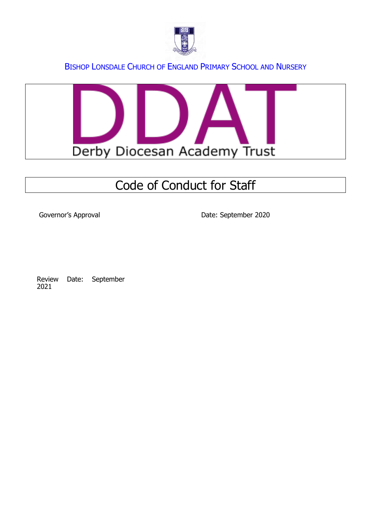



# Code of Conduct for Staff

Governor's Approval and Date: September 2020

Review Date: September 2021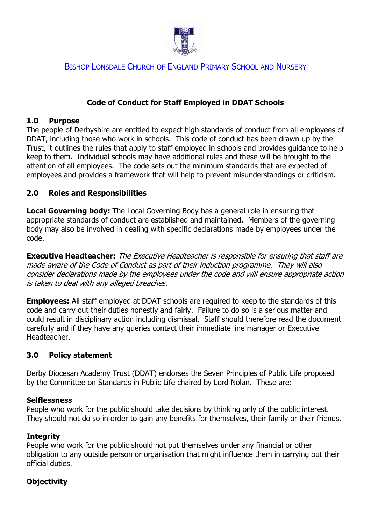

#### **Code of Conduct for Staff Employed in DDAT Schools**

#### **1.0 Purpose**

The people of Derbyshire are entitled to expect high standards of conduct from all employees of DDAT, including those who work in schools. This code of conduct has been drawn up by the Trust, it outlines the rules that apply to staff employed in schools and provides guidance to help keep to them. Individual schools may have additional rules and these will be brought to the attention of all employees. The code sets out the minimum standards that are expected of employees and provides a framework that will help to prevent misunderstandings or criticism.

#### **2.0 Roles and Responsibilities**

**Local Governing body:** The Local Governing Body has a general role in ensuring that appropriate standards of conduct are established and maintained. Members of the governing body may also be involved in dealing with specific declarations made by employees under the code.

**Executive Headteacher:** The Executive Headteacher is responsible for ensuring that staff are made aware of the Code of Conduct as part of their induction programme. They will also consider declarations made by the employees under the code and will ensure appropriate action is taken to deal with any alleged breaches.

**Employees:** All staff employed at DDAT schools are required to keep to the standards of this code and carry out their duties honestly and fairly. Failure to do so is a serious matter and could result in disciplinary action including dismissal. Staff should therefore read the document carefully and if they have any queries contact their immediate line manager or Executive Headteacher.

#### **3.0 Policy statement**

Derby Diocesan Academy Trust (DDAT) endorses the Seven Principles of Public Life proposed by the Committee on Standards in Public Life chaired by Lord Nolan. These are:

#### **Selflessness**

People who work for the public should take decisions by thinking only of the public interest. They should not do so in order to gain any benefits for themselves, their family or their friends.

#### **Integrity**

People who work for the public should not put themselves under any financial or other obligation to any outside person or organisation that might influence them in carrying out their official duties.

# **Objectivity**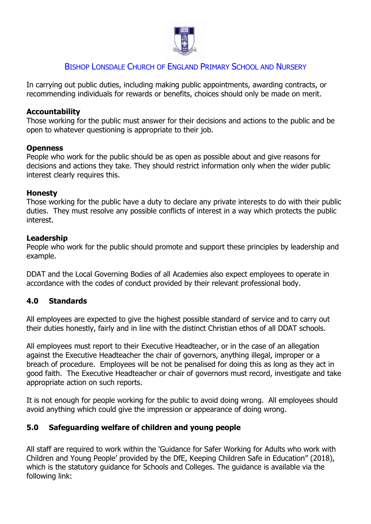

In carrying out public duties, including making public appointments, awarding contracts, or recommending individuals for rewards or benefits, choices should only be made on merit.

#### **Accountability**

Those working for the public must answer for their decisions and actions to the public and be open to whatever questioning is appropriate to their job.

#### **Openness**

People who work for the public should be as open as possible about and give reasons for decisions and actions they take. They should restrict information only when the wider public interest clearly requires this.

#### **Honesty**

Those working for the public have a duty to declare any private interests to do with their public duties. They must resolve any possible conflicts of interest in a way which protects the public interest.

#### **Leadership**

People who work for the public should promote and support these principles by leadership and example.

DDAT and the Local Governing Bodies of all Academies also expect employees to operate in accordance with the codes of conduct provided by their relevant professional body.

#### **4.0 Standards**

All employees are expected to give the highest possible standard of service and to carry out their duties honestly, fairly and in line with the distinct Christian ethos of all DDAT schools.

All employees must report to their Executive Headteacher, or in the case of an allegation against the Executive Headteacher the chair of governors, anything illegal, improper or a breach of procedure. Employees will be not be penalised for doing this as long as they act in good faith. The Executive Headteacher or chair of governors must record, investigate and take appropriate action on such reports.

It is not enough for people working for the public to avoid doing wrong. All employees should avoid anything which could give the impression or appearance of doing wrong.

# **5.0 Safeguarding welfare of children and young people**

All staff are required to work within the 'Guidance for Safer Working for Adults who work with Children and Young People' provided by the DfE, Keeping Children Safe in Education" (2018), which is the statutory guidance for Schools and Colleges. The guidance is available via the following link: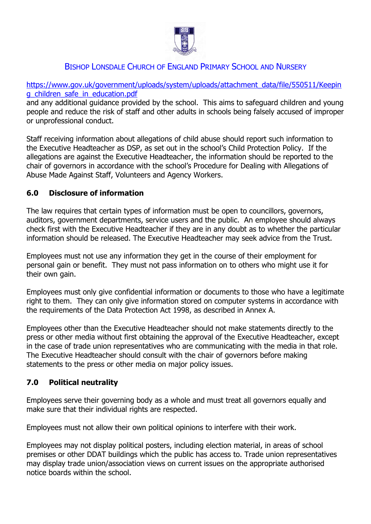

[https://www.gov.uk/government/uploads/system/uploads/attachment\\_data/file/550511/Keepin](https://www.gov.uk/government/uploads/system/uploads/attachment_data/file/550511/Keeping_children_safe_in_education.pdf) [g\\_children\\_safe\\_in\\_education.pdf](https://www.gov.uk/government/uploads/system/uploads/attachment_data/file/550511/Keeping_children_safe_in_education.pdf)

and any additional guidance provided by the school. This aims to safeguard children and young people and reduce the risk of staff and other adults in schools being falsely accused of improper or unprofessional conduct.

Staff receiving information about allegations of child abuse should report such information to the Executive Headteacher as DSP, as set out in the school's Child Protection Policy. If the allegations are against the Executive Headteacher, the information should be reported to the chair of governors in accordance with the school's Procedure for Dealing with Allegations of Abuse Made Against Staff, Volunteers and Agency Workers.

# **6.0 Disclosure of information**

The law requires that certain types of information must be open to councillors, governors, auditors, government departments, service users and the public. An employee should always check first with the Executive Headteacher if they are in any doubt as to whether the particular information should be released. The Executive Headteacher may seek advice from the Trust.

Employees must not use any information they get in the course of their employment for personal gain or benefit. They must not pass information on to others who might use it for their own gain.

Employees must only give confidential information or documents to those who have a legitimate right to them. They can only give information stored on computer systems in accordance with the requirements of the Data Protection Act 1998, as described in Annex A.

Employees other than the Executive Headteacher should not make statements directly to the press or other media without first obtaining the approval of the Executive Headteacher, except in the case of trade union representatives who are communicating with the media in that role. The Executive Headteacher should consult with the chair of governors before making statements to the press or other media on major policy issues.

# **7.0 Political neutrality**

Employees serve their governing body as a whole and must treat all governors equally and make sure that their individual rights are respected.

Employees must not allow their own political opinions to interfere with their work.

Employees may not display political posters, including election material, in areas of school premises or other DDAT buildings which the public has access to. Trade union representatives may display trade union/association views on current issues on the appropriate authorised notice boards within the school.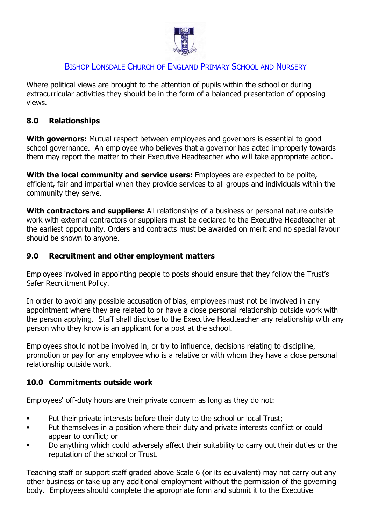

Where political views are brought to the attention of pupils within the school or during extracurricular activities they should be in the form of a balanced presentation of opposing views.

#### **8.0 Relationships**

**With governors:** Mutual respect between employees and governors is essential to good school governance. An employee who believes that a governor has acted improperly towards them may report the matter to their Executive Headteacher who will take appropriate action.

**With the local community and service users:** Employees are expected to be polite, efficient, fair and impartial when they provide services to all groups and individuals within the community they serve.

**With contractors and suppliers:** All relationships of a business or personal nature outside work with external contractors or suppliers must be declared to the Executive Headteacher at the earliest opportunity. Orders and contracts must be awarded on merit and no special favour should be shown to anyone.

#### **9.0 Recruitment and other employment matters**

Employees involved in appointing people to posts should ensure that they follow the Trust's Safer Recruitment Policy.

In order to avoid any possible accusation of bias, employees must not be involved in any appointment where they are related to or have a close personal relationship outside work with the person applying. Staff shall disclose to the Executive Headteacher any relationship with any person who they know is an applicant for a post at the school.

Employees should not be involved in, or try to influence, decisions relating to discipline, promotion or pay for any employee who is a relative or with whom they have a close personal relationship outside work.

# **10.0 Commitments outside work**

Employees' off-duty hours are their private concern as long as they do not:

- **•** Put their private interests before their duty to the school or local Trust;
- **•** Put themselves in a position where their duty and private interests conflict or could appear to conflict; or
- Do anything which could adversely affect their suitability to carry out their duties or the reputation of the school or Trust.

Teaching staff or support staff graded above Scale 6 (or its equivalent) may not carry out any other business or take up any additional employment without the permission of the governing body. Employees should complete the appropriate form and submit it to the Executive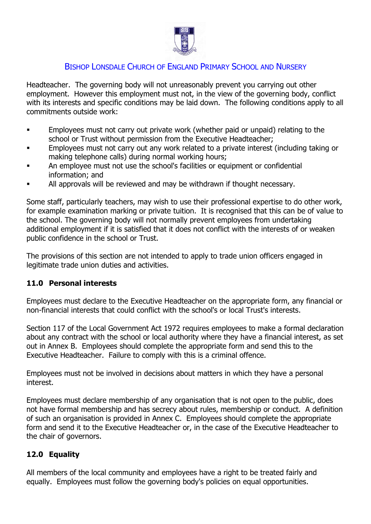

Headteacher. The governing body will not unreasonably prevent you carrying out other employment. However this employment must not, in the view of the governing body, conflict with its interests and specific conditions may be laid down. The following conditions apply to all commitments outside work:

- **Employees must not carry out private work (whether paid or unpaid) relating to the** school or Trust without permission from the Executive Headteacher;
- **Employees must not carry out any work related to a private interest (including taking or** making telephone calls) during normal working hours;
- An employee must not use the school's facilities or equipment or confidential information; and
- All approvals will be reviewed and may be withdrawn if thought necessary.

Some staff, particularly teachers, may wish to use their professional expertise to do other work, for example examination marking or private tuition. It is recognised that this can be of value to the school. The governing body will not normally prevent employees from undertaking additional employment if it is satisfied that it does not conflict with the interests of or weaken public confidence in the school or Trust.

The provisions of this section are not intended to apply to trade union officers engaged in legitimate trade union duties and activities.

#### **11.0 Personal interests**

Employees must declare to the Executive Headteacher on the appropriate form, any financial or non-financial interests that could conflict with the school's or local Trust's interests.

Section 117 of the Local Government Act 1972 requires employees to make a formal declaration about any contract with the school or local authority where they have a financial interest, as set out in Annex B. Employees should complete the appropriate form and send this to the Executive Headteacher. Failure to comply with this is a criminal offence.

Employees must not be involved in decisions about matters in which they have a personal interest.

Employees must declare membership of any organisation that is not open to the public, does not have formal membership and has secrecy about rules, membership or conduct. A definition of such an organisation is provided in Annex C. Employees should complete the appropriate form and send it to the Executive Headteacher or, in the case of the Executive Headteacher to the chair of governors.

# **12.0 Equality**

All members of the local community and employees have a right to be treated fairly and equally. Employees must follow the governing body's policies on equal opportunities.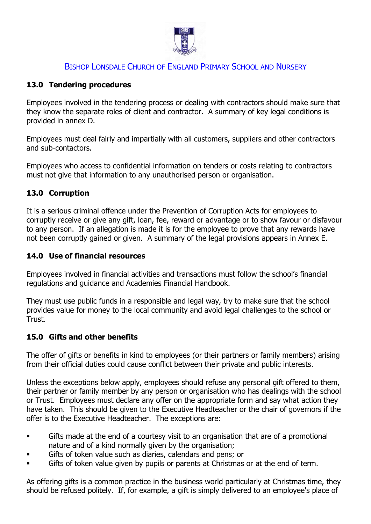

# **13.0 Tendering procedures**

Employees involved in the tendering process or dealing with contractors should make sure that they know the separate roles of client and contractor. A summary of key legal conditions is provided in annex D.

Employees must deal fairly and impartially with all customers, suppliers and other contractors and sub-contactors.

Employees who access to confidential information on tenders or costs relating to contractors must not give that information to any unauthorised person or organisation.

# **13.0 Corruption**

It is a serious criminal offence under the Prevention of Corruption Acts for employees to corruptly receive or give any gift, loan, fee, reward or advantage or to show favour or disfavour to any person. If an allegation is made it is for the employee to prove that any rewards have not been corruptly gained or given. A summary of the legal provisions appears in Annex E.

# **14.0 Use of financial resources**

Employees involved in financial activities and transactions must follow the school's financial regulations and guidance and Academies Financial Handbook.

They must use public funds in a responsible and legal way, try to make sure that the school provides value for money to the local community and avoid legal challenges to the school or Trust.

# **15.0 Gifts and other benefits**

The offer of gifts or benefits in kind to employees (or their partners or family members) arising from their official duties could cause conflict between their private and public interests.

Unless the exceptions below apply, employees should refuse any personal gift offered to them, their partner or family member by any person or organisation who has dealings with the school or Trust. Employees must declare any offer on the appropriate form and say what action they have taken. This should be given to the Executive Headteacher or the chair of governors if the offer is to the Executive Headteacher. The exceptions are:

- Gifts made at the end of a courtesy visit to an organisation that are of a promotional nature and of a kind normally given by the organisation;
- Gifts of token value such as diaries, calendars and pens; or
- Gifts of token value given by pupils or parents at Christmas or at the end of term.

As offering gifts is a common practice in the business world particularly at Christmas time, they should be refused politely. If, for example, a gift is simply delivered to an employee's place of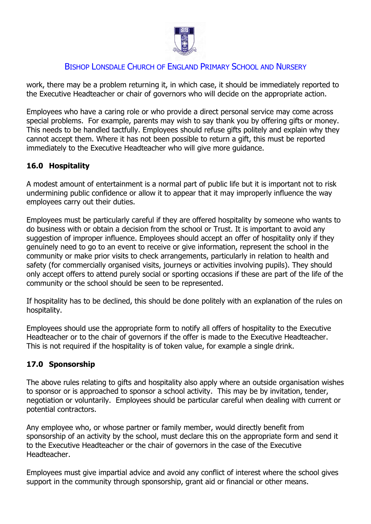

work, there may be a problem returning it, in which case, it should be immediately reported to the Executive Headteacher or chair of governors who will decide on the appropriate action.

Employees who have a caring role or who provide a direct personal service may come across special problems. For example, parents may wish to say thank you by offering gifts or money. This needs to be handled tactfully. Employees should refuse gifts politely and explain why they cannot accept them. Where it has not been possible to return a gift, this must be reported immediately to the Executive Headteacher who will give more guidance.

# **16.0 Hospitality**

A modest amount of entertainment is a normal part of public life but it is important not to risk undermining public confidence or allow it to appear that it may improperly influence the way employees carry out their duties.

Employees must be particularly careful if they are offered hospitality by someone who wants to do business with or obtain a decision from the school or Trust. It is important to avoid any suggestion of improper influence. Employees should accept an offer of hospitality only if they genuinely need to go to an event to receive or give information, represent the school in the community or make prior visits to check arrangements, particularly in relation to health and safety (for commercially organised visits, journeys or activities involving pupils). They should only accept offers to attend purely social or sporting occasions if these are part of the life of the community or the school should be seen to be represented.

If hospitality has to be declined, this should be done politely with an explanation of the rules on hospitality.

Employees should use the appropriate form to notify all offers of hospitality to the Executive Headteacher or to the chair of governors if the offer is made to the Executive Headteacher. This is not required if the hospitality is of token value, for example a single drink.

# **17.0 Sponsorship**

The above rules relating to gifts and hospitality also apply where an outside organisation wishes to sponsor or is approached to sponsor a school activity. This may be by invitation, tender, negotiation or voluntarily. Employees should be particular careful when dealing with current or potential contractors.

Any employee who, or whose partner or family member, would directly benefit from sponsorship of an activity by the school, must declare this on the appropriate form and send it to the Executive Headteacher or the chair of governors in the case of the Executive Headteacher.

Employees must give impartial advice and avoid any conflict of interest where the school gives support in the community through sponsorship, grant aid or financial or other means.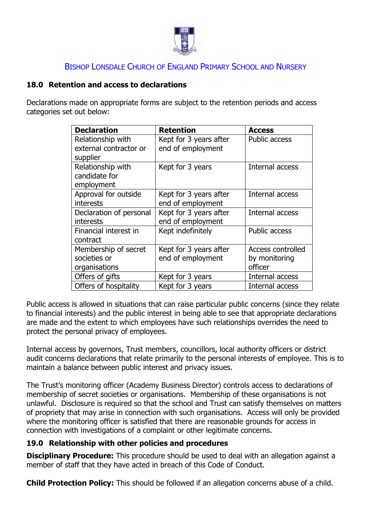

# **18.0 Retention and access to declarations**

Declarations made on appropriate forms are subject to the retention periods and access categories set out below:

| <b>Declaration</b>      | <b>Retention</b>       | <b>Access</b>        |
|-------------------------|------------------------|----------------------|
| Relationship with       | Kept for 3 years after | <b>Public access</b> |
| external contractor or  | end of employment      |                      |
| supplier                |                        |                      |
| Relationship with       | Kept for 3 years       | Internal access      |
| candidate for           |                        |                      |
| employment              |                        |                      |
| Approval for outside    | Kept for 3 years after | Internal access      |
| <b>interests</b>        | end of employment      |                      |
| Declaration of personal | Kept for 3 years after | Internal access      |
| <b>interests</b>        | end of employment      |                      |
| Financial interest in   | Kept indefinitely      | <b>Public access</b> |
| contract                |                        |                      |
| Membership of secret    | Kept for 3 years after | Access controlled    |
| societies or            | end of employment      | by monitoring        |
| organisations           |                        | officer              |
| Offers of gifts         | Kept for 3 years       | Internal access      |
| Offers of hospitality   | Kept for 3 years       | Internal access      |

Public access is allowed in situations that can raise particular public concerns (since they relate to financial interests) and the public interest in being able to see that appropriate declarations are made and the extent to which employees have such relationships overrides the need to protect the personal privacy of employees.

Internal access by governors, Trust members, councillors, local authority officers or district audit concerns declarations that relate primarily to the personal interests of employee. This is to maintain a balance between public interest and privacy issues.

The Trust's monitoring officer (Academy Business Director) controls access to declarations of membership of secret societies or organisations. Membership of these organisations is not unlawful. Disclosure is required so that the school and Trust can satisfy themselves on matters of propriety that may arise in connection with such organisations. Access will only be provided where the monitoring officer is satisfied that there are reasonable grounds for access in connection with investigations of a complaint or other legitimate concerns.

#### **19.0 Relationship with other policies and procedures**

**Disciplinary Procedure:** This procedure should be used to deal with an allegation against a member of staff that they have acted in breach of this Code of Conduct.

**Child Protection Policy:** This should be followed if an allegation concerns abuse of a child.